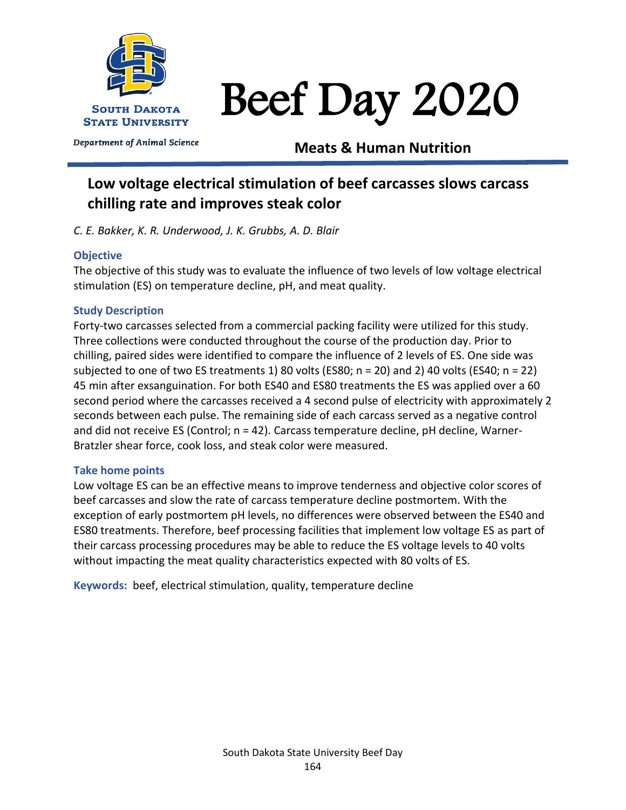

Department of Animal Science

# Beef Day 2020

# **Meats & Human Nutrition**

# **Low voltage electrical stimulation of beef carcasses slows carcass chilling rate and improves steak color**

*C. E. Bakker, K. R. Underwood, J. K. Grubbs, A. D. Blair*

# **Objective**

The objective of this study was to evaluate the influence of two levels of low voltage electrical stimulation (ES) on temperature decline, pH, and meat quality.

# **Study Description**

Forty-two carcasses selected from a commercial packing facility were utilized for this study. Three collections were conducted throughout the course of the production day. Prior to chilling, paired sides were identified to compare the influence of 2 levels of ES. One side was subjected to one of two ES treatments 1) 80 volts (ES80; n = 20) and 2) 40 volts (ES40; n = 22) 45 min after exsanguination. For both ES40 and ES80 treatments the ES was applied over a 60 second period where the carcasses received a 4 second pulse of electricity with approximately 2 seconds between each pulse. The remaining side of each carcass served as a negative control and did not receive ES (Control; n = 42). Carcass temperature decline, pH decline, Warner-Bratzler shear force, cook loss, and steak color were measured.

# **Take home points**

Low voltage ES can be an effective means to improve tenderness and objective color scores of beef carcasses and slow the rate of carcass temperature decline postmortem. With the exception of early postmortem pH levels, no differences were observed between the ES40 and ES80 treatments. Therefore, beef processing facilities that implement low voltage ES as part of their carcass processing procedures may be able to reduce the ES voltage levels to 40 volts without impacting the meat quality characteristics expected with 80 volts of ES.

**Keywords:** beef, electrical stimulation, quality, temperature decline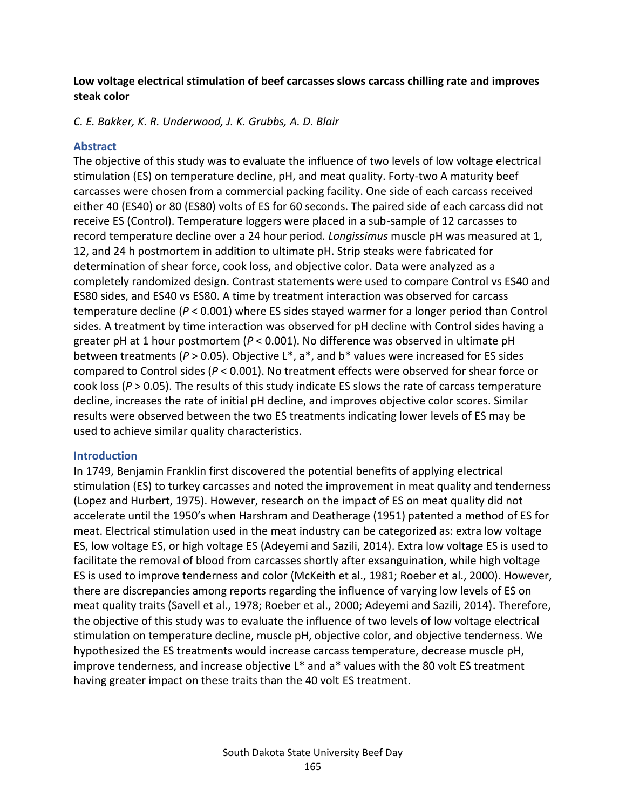## **Low voltage electrical stimulation of beef carcasses slows carcass chilling rate and improves steak color**

*C. E. Bakker, K. R. Underwood, J. K. Grubbs, A. D. Blair*

## **Abstract**

The objective of this study was to evaluate the influence of two levels of low voltage electrical stimulation (ES) on temperature decline, pH, and meat quality. Forty-two A maturity beef carcasses were chosen from a commercial packing facility. One side of each carcass received either 40 (ES40) or 80 (ES80) volts of ES for 60 seconds. The paired side of each carcass did not receive ES (Control). Temperature loggers were placed in a sub-sample of 12 carcasses to record temperature decline over a 24 hour period. *Longissimus* muscle pH was measured at 1, 12, and 24 h postmortem in addition to ultimate pH. Strip steaks were fabricated for determination of shear force, cook loss, and objective color. Data were analyzed as a completely randomized design. Contrast statements were used to compare Control vs ES40 and ES80 sides, and ES40 vs ES80. A time by treatment interaction was observed for carcass temperature decline (*P* < 0.001) where ES sides stayed warmer for a longer period than Control sides. A treatment by time interaction was observed for pH decline with Control sides having a greater pH at 1 hour postmortem (*P* < 0.001). No difference was observed in ultimate pH between treatments (*P* > 0.05). Objective L\*, a\*, and b\* values were increased for ES sides compared to Control sides (*P* < 0.001). No treatment effects were observed for shear force or cook loss (*P* > 0.05). The results of this study indicate ES slows the rate of carcass temperature decline, increases the rate of initial pH decline, and improves objective color scores. Similar results were observed between the two ES treatments indicating lower levels of ES may be used to achieve similar quality characteristics.

#### **Introduction**

In 1749, Benjamin Franklin first discovered the potential benefits of applying electrical stimulation (ES) to turkey carcasses and noted the improvement in meat quality and tenderness (Lopez and Hurbert, 1975). However, research on the impact of ES on meat quality did not accelerate until the 1950's when Harshram and Deatherage (1951) patented a method of ES for meat. Electrical stimulation used in the meat industry can be categorized as: extra low voltage ES, low voltage ES, or high voltage ES (Adeyemi and Sazili, 2014). Extra low voltage ES is used to facilitate the removal of blood from carcasses shortly after exsanguination, while high voltage ES is used to improve tenderness and color (McKeith et al., 1981; Roeber et al., 2000). However, there are discrepancies among reports regarding the influence of varying low levels of ES on meat quality traits (Savell et al., 1978; Roeber et al., 2000; Adeyemi and Sazili, 2014). Therefore, the objective of this study was to evaluate the influence of two levels of low voltage electrical stimulation on temperature decline, muscle pH, objective color, and objective tenderness. We hypothesized the ES treatments would increase carcass temperature, decrease muscle pH, improve tenderness, and increase objective L\* and a\* values with the 80 volt ES treatment having greater impact on these traits than the 40 volt ES treatment.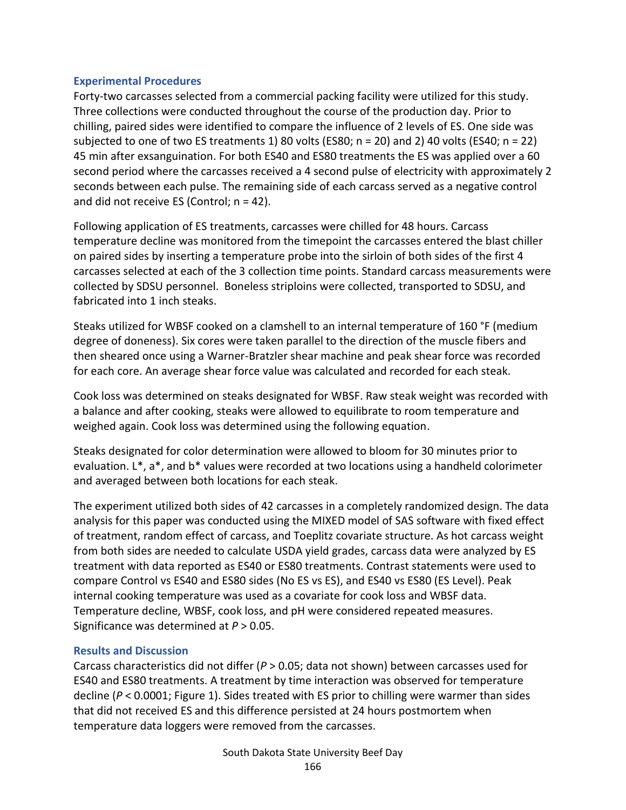#### **Experimental Procedures**

Forty-two carcasses selected from a commercial packing facility were utilized for this study. Three collections were conducted throughout the course of the production day. Prior to chilling, paired sides were identified to compare the influence of 2 levels of ES. One side was subjected to one of two ES treatments 1) 80 volts (ES80; n = 20) and 2) 40 volts (ES40; n = 22) 45 min after exsanguination. For both ES40 and ES80 treatments the ES was applied over a 60 second period where the carcasses received a 4 second pulse of electricity with approximately 2 seconds between each pulse. The remaining side of each carcass served as a negative control and did not receive ES (Control;  $n = 42$ ).

Following application of ES treatments, carcasses were chilled for 48 hours. Carcass temperature decline was monitored from the timepoint the carcasses entered the blast chiller on paired sides by inserting a temperature probe into the sirloin of both sides of the first 4 carcasses selected at each of the 3 collection time points. Standard carcass measurements were collected by SDSU personnel. Boneless striploins were collected, transported to SDSU, and fabricated into 1 inch steaks.

Steaks utilized for WBSF cooked on a clamshell to an internal temperature of 160 °F (medium degree of doneness). Six cores were taken parallel to the direction of the muscle fibers and then sheared once using a Warner-Bratzler shear machine and peak shear force was recorded for each core. An average shear force value was calculated and recorded for each steak.

Cook loss was determined on steaks designated for WBSF. Raw steak weight was recorded with a balance and after cooking, steaks were allowed to equilibrate to room temperature and weighed again. Cook loss was determined using the following equation.

Steaks designated for color determination were allowed to bloom for 30 minutes prior to evaluation. L\*, a\*, and b\* values were recorded at two locations using a handheld colorimeter and averaged between both locations for each steak.

The experiment utilized both sides of 42 carcasses in a completely randomized design. The data analysis for this paper was conducted using the MIXED model of SAS software with fixed effect of treatment, random effect of carcass, and Toeplitz covariate structure. As hot carcass weight from both sides are needed to calculate USDA yield grades, carcass data were analyzed by ES treatment with data reported as ES40 or ES80 treatments. Contrast statements were used to compare Control vs ES40 and ES80 sides (No ES vs ES), and ES40 vs ES80 (ES Level). Peak internal cooking temperature was used as a covariate for cook loss and WBSF data. Temperature decline, WBSF, cook loss, and pH were considered repeated measures. Significance was determined at *P* > 0.05.

#### **Results and Discussion**

Carcass characteristics did not differ (*P* > 0.05; data not shown) between carcasses used for ES40 and ES80 treatments. A treatment by time interaction was observed for temperature decline (*P* < 0.0001; Figure 1). Sides treated with ES prior to chilling were warmer than sides that did not received ES and this difference persisted at 24 hours postmortem when temperature data loggers were removed from the carcasses.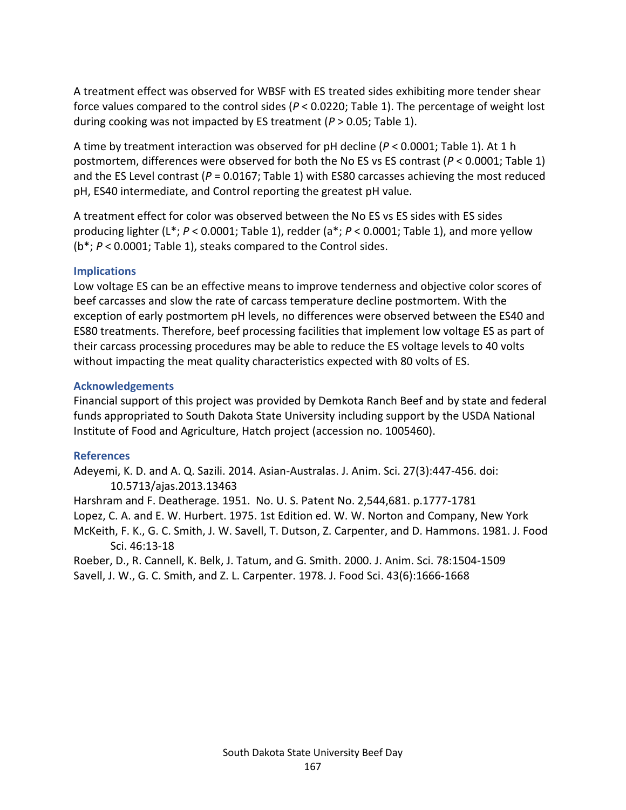A treatment effect was observed for WBSF with ES treated sides exhibiting more tender shear force values compared to the control sides (*P* < 0.0220; Table 1). The percentage of weight lost during cooking was not impacted by ES treatment (*P* > 0.05; Table 1).

A time by treatment interaction was observed for pH decline (*P* < 0.0001; Table 1). At 1 h postmortem, differences were observed for both the No ES vs ES contrast (*P* < 0.0001; Table 1) and the ES Level contrast (P = 0.0167; Table 1) with ES80 carcasses achieving the most reduced pH, ES40 intermediate, and Control reporting the greatest pH value.

A treatment effect for color was observed between the No ES vs ES sides with ES sides producing lighter (L\*; *P* < 0.0001; Table 1), redder (a\*; *P* < 0.0001; Table 1), and more yellow (b\*; *P* < 0.0001; Table 1), steaks compared to the Control sides.

### **Implications**

Low voltage ES can be an effective means to improve tenderness and objective color scores of beef carcasses and slow the rate of carcass temperature decline postmortem. With the exception of early postmortem pH levels, no differences were observed between the ES40 and ES80 treatments. Therefore, beef processing facilities that implement low voltage ES as part of their carcass processing procedures may be able to reduce the ES voltage levels to 40 volts without impacting the meat quality characteristics expected with 80 volts of ES.

### **Acknowledgements**

Financial support of this project was provided by Demkota Ranch Beef and by state and federal funds appropriated to South Dakota State University including support by the USDA National Institute of Food and Agriculture, Hatch project (accession no. 1005460).

#### **References**

Adeyemi, K. D. and A. Q. Sazili. 2014. Asian-Australas. J. Anim. Sci. 27(3):447-456. doi: 10.5713/ajas.2013.13463

Harshram and F. Deatherage. 1951. No. U. S. Patent No. 2,544,681. p.1777-1781 Lopez, C. A. and E. W. Hurbert. 1975. 1st Edition ed. W. W. Norton and Company, New York McKeith, F. K., G. C. Smith, J. W. Savell, T. Dutson, Z. Carpenter, and D. Hammons. 1981. J. Food Sci. 46:13-18

Roeber, D., R. Cannell, K. Belk, J. Tatum, and G. Smith. 2000. J. Anim. Sci. 78:1504-1509 Savell, J. W., G. C. Smith, and Z. L. Carpenter. 1978. J. Food Sci. 43(6):1666-1668